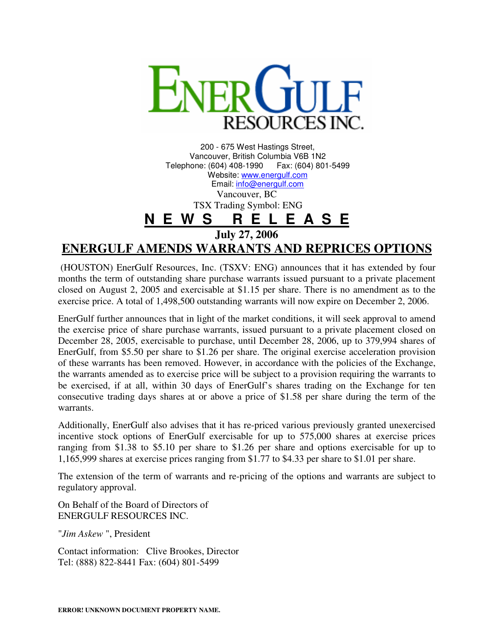

200 - 675 West Hastings Street, Vancouver, British Columbia V6B 1N2 Telephone: (604) 408-1990 Website: www.energulf.com Email: info@energulf.com Vancouver, BC

TSX Trading Symbol: ENG

**N E W S R E L E A S E**

**July 27, 2006** 

## **ENERGULF AMENDS WARRANTS AND REPRICES OPTIONS**

 (HOUSTON) EnerGulf Resources, Inc. (TSXV: ENG) announces that it has extended by four months the term of outstanding share purchase warrants issued pursuant to a private placement closed on August 2, 2005 and exercisable at \$1.15 per share. There is no amendment as to the exercise price. A total of 1,498,500 outstanding warrants will now expire on December 2, 2006.

EnerGulf further announces that in light of the market conditions, it will seek approval to amend the exercise price of share purchase warrants, issued pursuant to a private placement closed on December 28, 2005, exercisable to purchase, until December 28, 2006, up to 379,994 shares of EnerGulf, from \$5.50 per share to \$1.26 per share. The original exercise acceleration provision of these warrants has been removed. However, in accordance with the policies of the Exchange, the warrants amended as to exercise price will be subject to a provision requiring the warrants to be exercised, if at all, within 30 days of EnerGulf's shares trading on the Exchange for ten consecutive trading days shares at or above a price of \$1.58 per share during the term of the warrants.

Additionally, EnerGulf also advises that it has re-priced various previously granted unexercised incentive stock options of EnerGulf exercisable for up to 575,000 shares at exercise prices ranging from \$1.38 to \$5.10 per share to \$1.26 per share and options exercisable for up to 1,165,999 shares at exercise prices ranging from \$1.77 to \$4.33 per share to \$1.01 per share.

The extension of the term of warrants and re-pricing of the options and warrants are subject to regulatory approval.

On Behalf of the Board of Directors of ENERGULF RESOURCES INC.

"*Jim Askew* ", President

Contact information: Clive Brookes, Director Tel: (888) 822-8441 Fax: (604) 801-5499